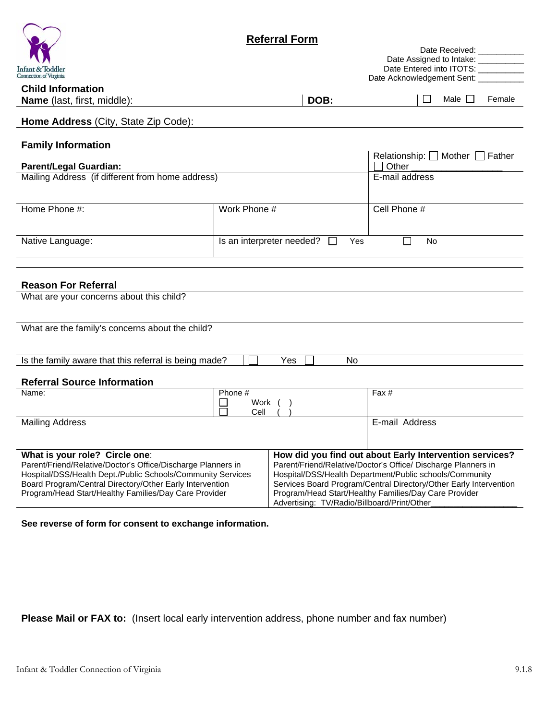|                                                                                                                                                                                                                                                                                    | <b>Referral Form</b><br>Date Received: ___________ |     |                                                                                                                                                                                                                                                                                                                                                                  |                                                                              |           |             |        |  |
|------------------------------------------------------------------------------------------------------------------------------------------------------------------------------------------------------------------------------------------------------------------------------------|----------------------------------------------------|-----|------------------------------------------------------------------------------------------------------------------------------------------------------------------------------------------------------------------------------------------------------------------------------------------------------------------------------------------------------------------|------------------------------------------------------------------------------|-----------|-------------|--------|--|
|                                                                                                                                                                                                                                                                                    |                                                    |     |                                                                                                                                                                                                                                                                                                                                                                  | Date Assigned to Intake: __________                                          |           |             |        |  |
| Infant & Toddler<br><b>Connection of Virginia</b>                                                                                                                                                                                                                                  |                                                    |     |                                                                                                                                                                                                                                                                                                                                                                  | Date Entered into ITOTS: __________<br>Date Acknowledgement Sent: __________ |           |             |        |  |
| <b>Child Information</b>                                                                                                                                                                                                                                                           |                                                    |     |                                                                                                                                                                                                                                                                                                                                                                  |                                                                              |           |             |        |  |
| <b>Name</b> (last, first, middle):                                                                                                                                                                                                                                                 |                                                    |     | DOB:                                                                                                                                                                                                                                                                                                                                                             |                                                                              |           | Male $\Box$ | Female |  |
| Home Address (City, State Zip Code):                                                                                                                                                                                                                                               |                                                    |     |                                                                                                                                                                                                                                                                                                                                                                  |                                                                              |           |             |        |  |
| <b>Family Information</b>                                                                                                                                                                                                                                                          |                                                    |     |                                                                                                                                                                                                                                                                                                                                                                  | Relationship: $\Box$ Mother $\Box$ Father                                    |           |             |        |  |
| <b>Parent/Legal Guardian:</b>                                                                                                                                                                                                                                                      |                                                    |     |                                                                                                                                                                                                                                                                                                                                                                  | Other                                                                        |           |             |        |  |
| Mailing Address (if different from home address)                                                                                                                                                                                                                                   |                                                    |     |                                                                                                                                                                                                                                                                                                                                                                  | E-mail address                                                               |           |             |        |  |
| Home Phone #:                                                                                                                                                                                                                                                                      | Work Phone #                                       |     |                                                                                                                                                                                                                                                                                                                                                                  | Cell Phone #                                                                 |           |             |        |  |
| Native Language:                                                                                                                                                                                                                                                                   | Is an interpreter needed?<br>Yes<br>$\mathbf{L}$   |     |                                                                                                                                                                                                                                                                                                                                                                  |                                                                              | <b>No</b> |             |        |  |
| <b>Reason For Referral</b><br>What are your concerns about this child?                                                                                                                                                                                                             |                                                    |     |                                                                                                                                                                                                                                                                                                                                                                  |                                                                              |           |             |        |  |
| What are the family's concerns about the child?                                                                                                                                                                                                                                    |                                                    |     |                                                                                                                                                                                                                                                                                                                                                                  |                                                                              |           |             |        |  |
| Is the family aware that this referral is being made?                                                                                                                                                                                                                              |                                                    | Yes | No                                                                                                                                                                                                                                                                                                                                                               |                                                                              |           |             |        |  |
|                                                                                                                                                                                                                                                                                    |                                                    |     |                                                                                                                                                                                                                                                                                                                                                                  |                                                                              |           |             |        |  |
| <b>Referral Source Information</b>                                                                                                                                                                                                                                                 |                                                    |     |                                                                                                                                                                                                                                                                                                                                                                  |                                                                              |           |             |        |  |
| Name:                                                                                                                                                                                                                                                                              | Phone #<br>Work<br>Cell                            |     |                                                                                                                                                                                                                                                                                                                                                                  | Fax #                                                                        |           |             |        |  |
| <b>Mailing Address</b>                                                                                                                                                                                                                                                             |                                                    |     |                                                                                                                                                                                                                                                                                                                                                                  | E-mail Address                                                               |           |             |        |  |
| What is your role? Circle one:<br>Parent/Friend/Relative/Doctor's Office/Discharge Planners in<br>Hospital/DSS/Health Dept./Public Schools/Community Services<br>Board Program/Central Directory/Other Early Intervention<br>Program/Head Start/Healthy Families/Day Care Provider |                                                    |     | How did you find out about Early Intervention services?<br>Parent/Friend/Relative/Doctor's Office/ Discharge Planners in<br>Hospital/DSS/Health Department/Public schools/Community<br>Services Board Program/Central Directory/Other Early Intervention<br>Program/Head Start/Healthy Families/Day Care Provider<br>Advertising: TV/Radio/Billboard/Print/Other |                                                                              |           |             |        |  |

**See reverse of form for consent to exchange information.** 

Please Mail or FAX to: (Insert local early intervention address, phone number and fax number)